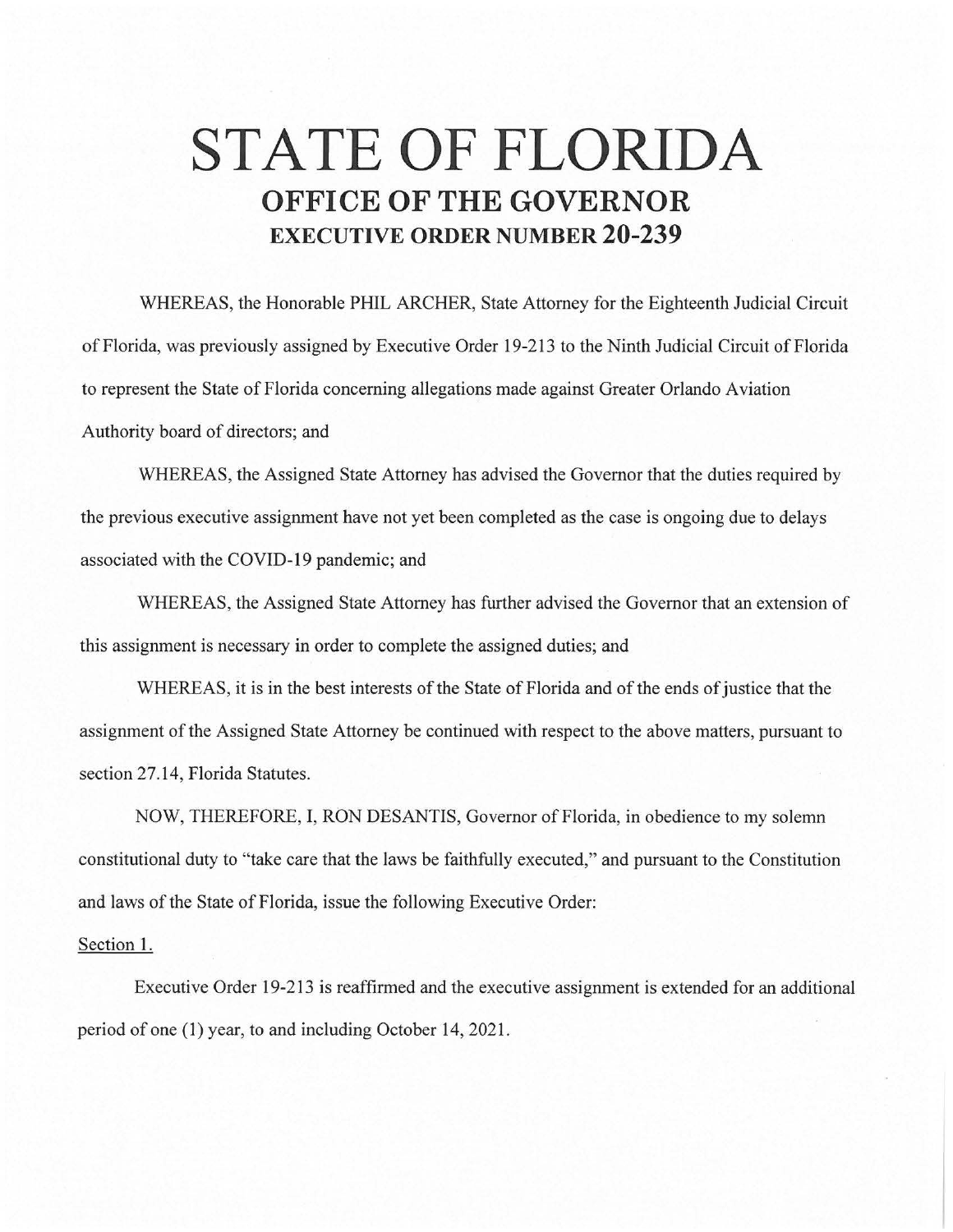## **STATE OF FLORIDA OFFICE OF THE GOVERNOR EXECUTIVE ORDER NUMBER 20-239**

WHEREAS, the Honorable PHIL ARCHER, State Attorney for the Eighteenth Judicial Circuit of Florida, was previously assigned by Executive Order 19-213 to the Ninth Judicial Circuit of Florida to represent the State of Florida concerning allegations made against Greater Orlando Aviation Authority board of directors; and

WHEREAS, the Assigned State Attorney has advised the Governor that the duties required by the previous executive assignment have not yet been completed as the case is ongoing due to delays associated with the COVID-19 pandemic; and

WHEREAS, the Assigned State Attorney has further advised the Governor that an extension of this assignment is necessary in order to complete the assigned duties; and

WHEREAS, it is in the best interests of the State of Florida and of the ends of justice that the assignment of the Assigned State Attorney be continued with respect to the above matters, pursuant to section 27.14, Florida Statutes.

NOW, THEREFORE, I, RON DESANTIS, Governor of Florida, in obedience to my solemn constitutional duty to "take care that the laws be faithfully executed," and pursuant to the Constitution and laws of the State of Florida, issue the following Executive Order:

## Section 1.

Executive Order 19-213 is reaffirmed and the executive assignment is extended for an additional period of one (1) year, to and including October 14, 2021.